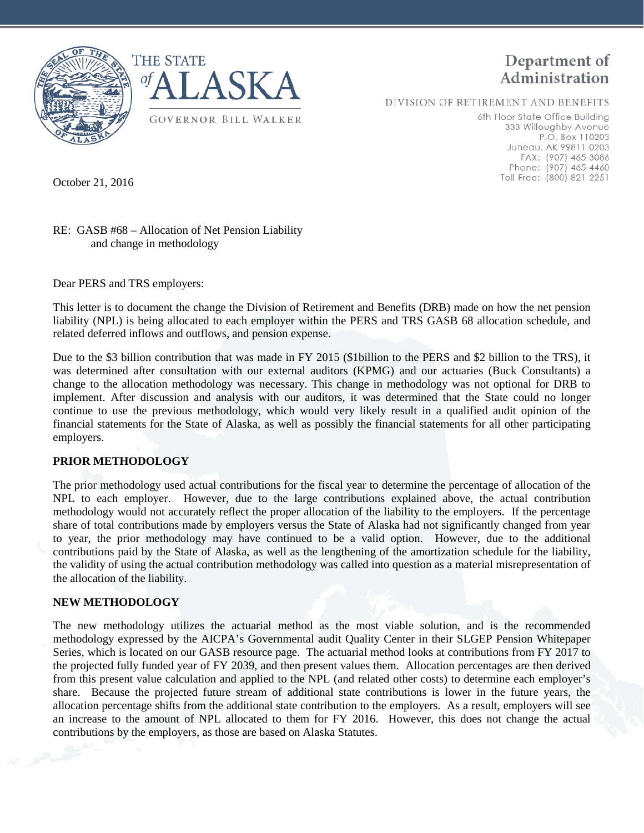



DIVISION OF RETIREMENT AND BENEFITS

6th Floor State Office Building 333 Willoughby Avenue P.O. Box 110203 Juneau, AK 99811-0203 FAX: (907) 465-3086 Phone: (907) 465-4460 Toll-Free: (800) 821-2251

October 21, 2016

## RE: GASB #68 – Allocation of Net Pension Liability and change in methodology

Dear PERS and TRS employers:

This letter is to document the change the Division of Retirement and Benefits (DRB) made on how the net pension liability (NPL) is being allocated to each employer within the PERS and TRS GASB 68 allocation schedule, and related deferred inflows and outflows, and pension expense.

Due to the \$3 billion contribution that was made in FY 2015 (\$1billion to the PERS and \$2 billion to the TRS), it was determined after consultation with our external auditors (KPMG) and our actuaries (Buck Consultants) a change to the allocation methodology was necessary. This change in methodology was not optional for DRB to implement. After discussion and analysis with our auditors, it was determined that the State could no longer continue to use the previous methodology, which would very likely result in a qualified audit opinion of the financial statements for the State of Alaska, as well as possibly the financial statements for all other participating employers.

## **PRIOR METHODOLOGY**

The prior methodology used actual contributions for the fiscal year to determine the percentage of allocation of the NPL to each employer. However, due to the large contributions explained above, the actual contribution methodology would not accurately reflect the proper allocation of the liability to the employers. If the percentage share of total contributions made by employers versus the State of Alaska had not significantly changed from year to year, the prior methodology may have continued to be a valid option. However, due to the additional contributions paid by the State of Alaska, as well as the lengthening of the amortization schedule for the liability, the validity of using the actual contribution methodology was called into question as a material misrepresentation of the allocation of the liability.

## **NEW METHODOLOGY**

The new methodology utilizes the actuarial method as the most viable solution, and is the recommended methodology expressed by the AICPA's Governmental audit Quality Center in their SLGEP Pension Whitepaper Series, which is located on our GASB resource page. The actuarial method looks at contributions from FY 2017 to the projected fully funded year of FY 2039, and then present values them. Allocation percentages are then derived from this present value calculation and applied to the NPL (and related other costs) to determine each employer's share. Because the projected future stream of additional state contributions is lower in the future years, the allocation percentage shifts from the additional state contribution to the employers. As a result, employers will see an increase to the amount of NPL allocated to them for FY 2016. However, this does not change the actual contributions by the employers, as those are based on Alaska Statutes.